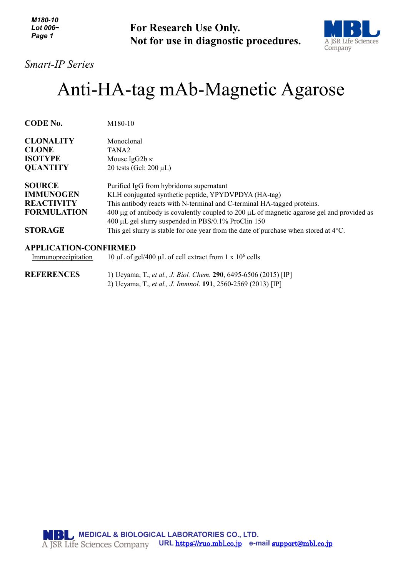*M180-10 Lot 006~ Page 1*

**For Research Use Only. Not for use in diagnostic procedures.**



*Smart-IP Series*

## Anti-HA-tag mAb-Magnetic Agarose

| <b>CODE No.</b>                                                              | M180-10                                                                                                                                                                                                                                                                                                                                   |
|------------------------------------------------------------------------------|-------------------------------------------------------------------------------------------------------------------------------------------------------------------------------------------------------------------------------------------------------------------------------------------------------------------------------------------|
| <b>CLONALITY</b><br><b>CLONE</b><br><b>ISOTYPE</b>                           | Monoclonal<br>TANA <sub>2</sub><br>Mouse IgG2b $\kappa$                                                                                                                                                                                                                                                                                   |
| <b>QUANTITY</b>                                                              | 20 tests (Gel: $200 \mu L$ )                                                                                                                                                                                                                                                                                                              |
| <b>SOURCE</b><br><b>IMMUNOGEN</b><br><b>REACTIVITY</b><br><b>FORMULATION</b> | Purified IgG from hybridoma supernatant<br>KLH conjugated synthetic peptide, YPYDVPDYA (HA-tag)<br>This antibody reacts with N-terminal and C-terminal HA-tagged proteins.<br>400 $\mu$ g of antibody is covalently coupled to 200 $\mu$ L of magnetic agarose gel and provided as<br>400 μL gel slurry suspended in PBS/0.1% ProClin 150 |
| <b>STORAGE</b>                                                               | This gel slurry is stable for one year from the date of purchase when stored at $4^{\circ}$ C.                                                                                                                                                                                                                                            |

## **APPLICATION-CONFIRMED**

Immunoprecipitation 10 µL of gel/400 µL of cell extract from 1 x  $10^6$  cells

**REFERENCES** 1) Ueyama, T., *et al., J. Biol. Chem.* **290**, 6495-6506 (2015) [IP] 2) Ueyama, T., *et al., J. Immnol*. **191**, 2560-2569 (2013) [IP]